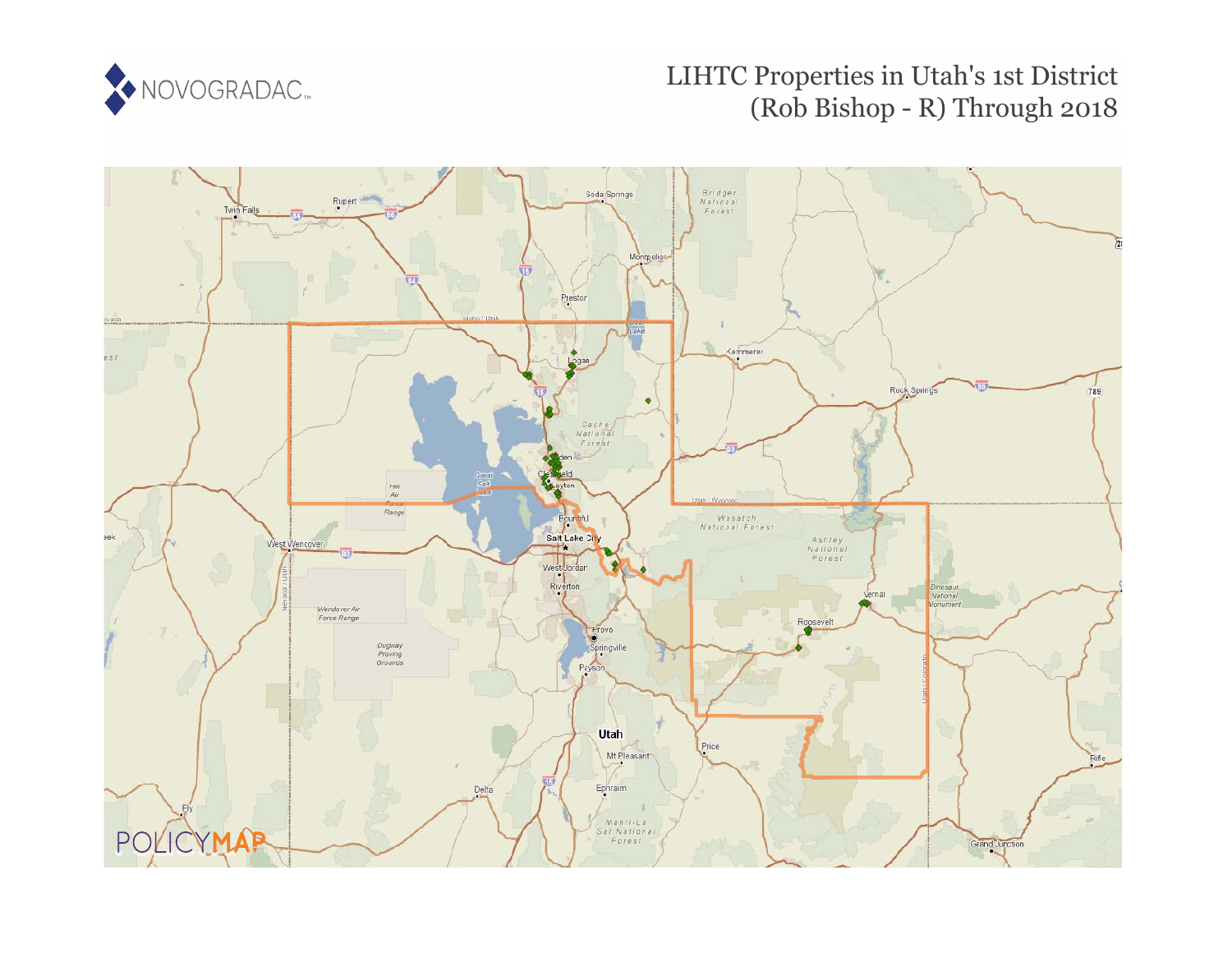

# LIHTC Properties in Utah's 1st District (Rob Bishop - R) Through 2018

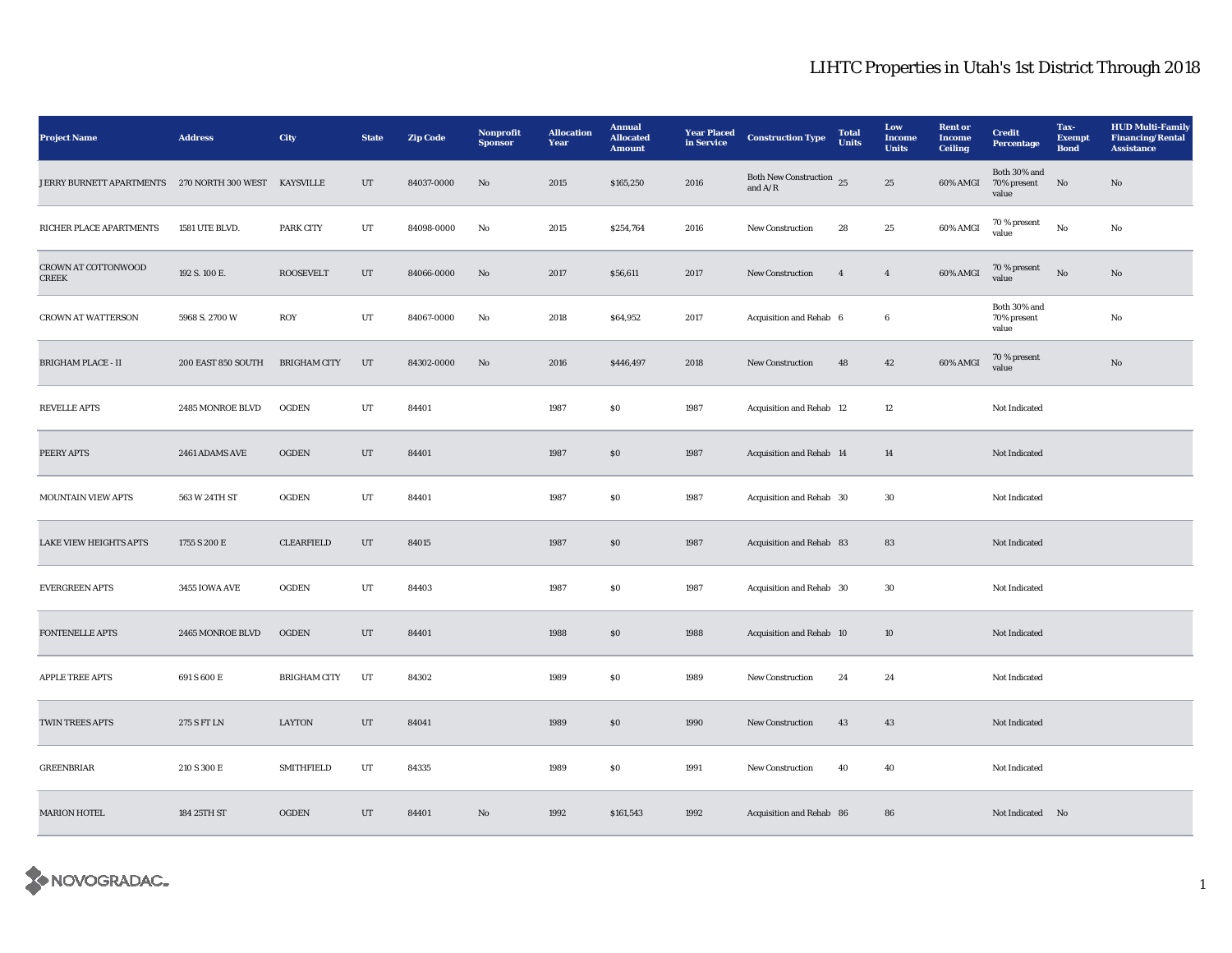| <b>Project Name</b>                 | <b>Address</b>     | City                | <b>State</b> | <b>Zip Code</b> | Nonprofit<br><b>Sponsor</b> | <b>Allocation</b><br>Year | <b>Annual</b><br><b>Allocated</b><br><b>Amount</b> | <b>Year Placed</b><br>in Service | <b>Construction Type</b>              | <b>Total</b><br><b>Units</b> | Low<br><b>Income</b><br><b>Units</b> | <b>Rent</b> or<br>Income<br><b>Ceiling</b> | <b>Credit</b><br>Percentage          | Tax-<br><b>Exempt</b><br><b>Bond</b> | <b>HUD Multi-Family</b><br><b>Financing/Rental</b><br><b>Assistance</b> |
|-------------------------------------|--------------------|---------------------|--------------|-----------------|-----------------------------|---------------------------|----------------------------------------------------|----------------------------------|---------------------------------------|------------------------------|--------------------------------------|--------------------------------------------|--------------------------------------|--------------------------------------|-------------------------------------------------------------------------|
| JERRY BURNETT APARTMENTS            | 270 NORTH 300 WEST | KAYSVILLE           | UT           | 84037-0000      | No                          | 2015                      | \$165,250                                          | 2016                             | Both New Construction 25<br>and $A/R$ |                              | 25                                   | 60% AMGI                                   | Both 30% and<br>70% present<br>value | No                                   | No                                                                      |
| RICHER PLACE APARTMENTS             | 1581 UTE BLVD.     | PARK CITY           | UT           | 84098-0000      | No                          | 2015                      | \$254,764                                          | 2016                             | <b>New Construction</b>               | 28                           | 25                                   | 60% AMGI                                   | 70 % present<br>value                | No                                   | No                                                                      |
| CROWN AT COTTONWOOD<br><b>CREEK</b> | 192 S. 100 E.      | <b>ROOSEVELT</b>    | $_{\rm UT}$  | 84066-0000      | $\mathbf{N}\mathbf{o}$      | 2017                      | \$56,611                                           | 2017                             | New Construction                      | $\overline{4}$               | $\overline{4}$                       | 60% AMGI                                   | 70 % present<br>value                | $_{\rm No}$                          | $\mathbf{No}$                                                           |
| <b>CROWN AT WATTERSON</b>           | 5968 S. 2700 W     | ROY                 | UT           | 84067-0000      | No                          | 2018                      | \$64,952                                           | 2017                             | Acquisition and Rehab 6               |                              | 6                                    |                                            | Both 30% and<br>70% present<br>value |                                      | No                                                                      |
| BRIGHAM PLACE - II                  | 200 EAST 850 SOUTH | <b>BRIGHAM CITY</b> | $_{\rm UT}$  | 84302-0000      | $\rm No$                    | 2016                      | \$446,497                                          | 2018                             | New Construction                      | 48                           | $\bf{42}$                            | 60% AMGI                                   | 70 % present<br>value                |                                      | $\rm No$                                                                |
| <b>REVELLE APTS</b>                 | 2485 MONROE BLVD   | <b>OGDEN</b>        | UT           | 84401           |                             | 1987                      | \$0\$                                              | 1987                             | Acquisition and Rehab 12              |                              | 12                                   |                                            | Not Indicated                        |                                      |                                                                         |
| PEERY APTS                          | 2461 ADAMS AVE     | <b>OGDEN</b>        | $_{\rm{UT}}$ | 84401           |                             | 1987                      | ${\bf S0}$                                         | 1987                             | Acquisition and Rehab 14              |                              | $14\,$                               |                                            | Not Indicated                        |                                      |                                                                         |
| <b>MOUNTAIN VIEW APTS</b>           | 563 W 24TH ST      | <b>OGDEN</b>        | UT           | 84401           |                             | 1987                      | \$0\$                                              | 1987                             | Acquisition and Rehab 30              |                              | 30                                   |                                            | Not Indicated                        |                                      |                                                                         |
| <b>LAKE VIEW HEIGHTS APTS</b>       | 1755 S 200 E       | <b>CLEARFIELD</b>   | UT           | 84015           |                             | 1987                      | $\$0$                                              | 1987                             | Acquisition and Rehab 83              |                              | 83                                   |                                            | Not Indicated                        |                                      |                                                                         |
| <b>EVERGREEN APTS</b>               | 3455 IOWA AVE      | <b>OGDEN</b>        | UT           | 84403           |                             | 1987                      | \$0\$                                              | 1987                             | Acquisition and Rehab 30              |                              | 30                                   |                                            | Not Indicated                        |                                      |                                                                         |
| <b>FONTENELLE APTS</b>              | 2465 MONROE BLVD   | <b>OGDEN</b>        | UT           | 84401           |                             | 1988                      | \$0\$                                              | 1988                             | Acquisition and Rehab 10              |                              | 10                                   |                                            | Not Indicated                        |                                      |                                                                         |
| APPLE TREE APTS                     | 691 S 600 E        | <b>BRIGHAM CITY</b> | UT           | 84302           |                             | 1989                      | $\$0$                                              | 1989                             | New Construction                      | 24                           | 24                                   |                                            | Not Indicated                        |                                      |                                                                         |
| <b>TWIN TREES APTS</b>              | 275 S FT LN        | LAYTON              | UT           | 84041           |                             | 1989                      | SO                                                 | 1990                             | <b>New Construction</b>               | 43                           | 43                                   |                                            | Not Indicated                        |                                      |                                                                         |
| <b>GREENBRIAR</b>                   | 210 S 300 E        | <b>SMITHFIELD</b>   | UT           | 84335           |                             | 1989                      | ${\bf S0}$                                         | 1991                             | <b>New Construction</b>               | 40                           | 40                                   |                                            | Not Indicated                        |                                      |                                                                         |
| <b>MARION HOTEL</b>                 | 184 25TH ST        | <b>OGDEN</b>        | UT           | 84401           | No                          | 1992                      | \$161,543                                          | 1992                             | Acquisition and Rehab 86              |                              | 86                                   |                                            | Not Indicated No                     |                                      |                                                                         |

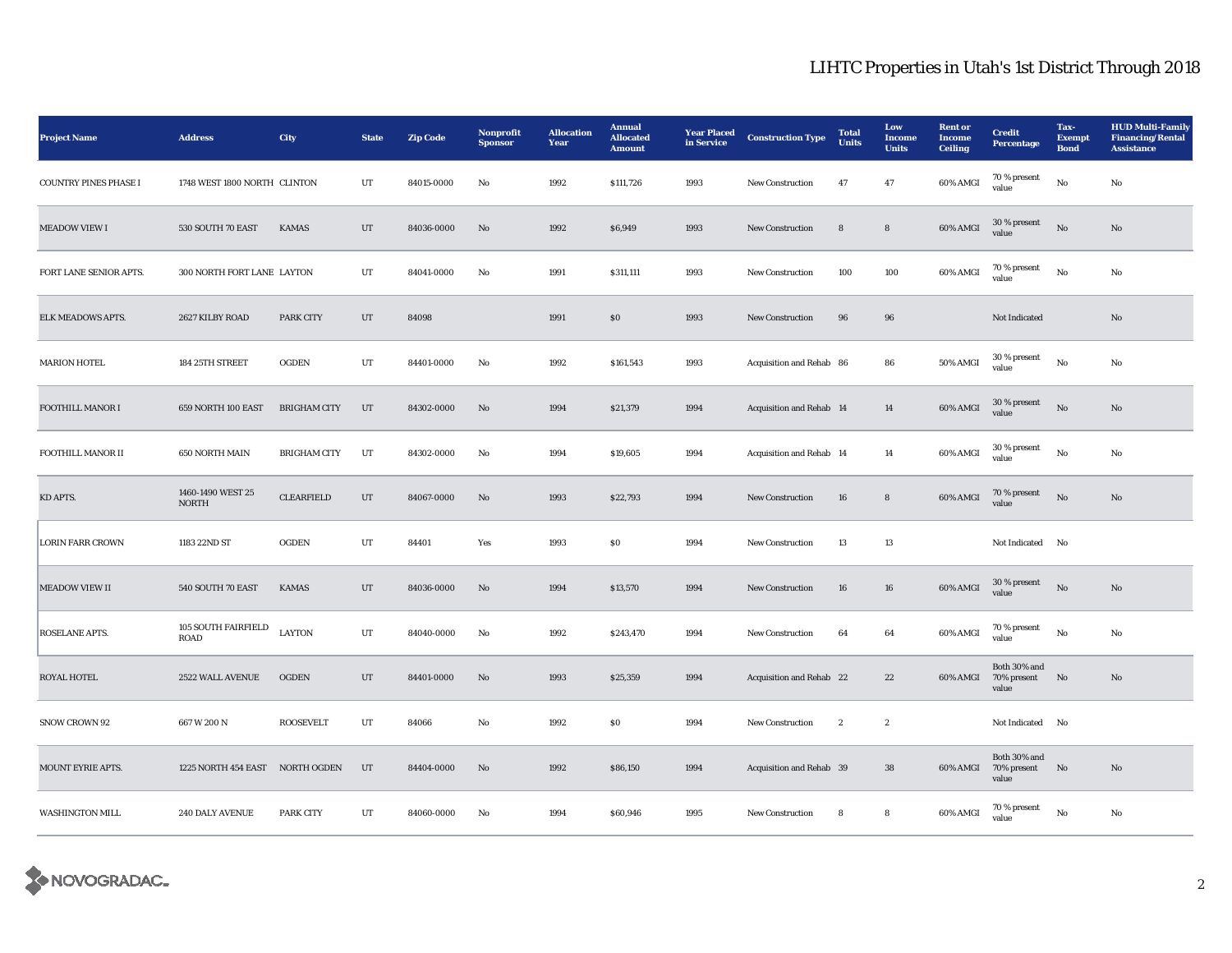| <b>Project Name</b>          | <b>Address</b>                     | City                | <b>State</b> | <b>Zip Code</b> | Nonprofit<br><b>Sponsor</b> | <b>Allocation</b><br>Year | <b>Annual</b><br><b>Allocated</b><br><b>Amount</b> | <b>Year Placed</b><br>in Service | <b>Construction Type</b> | <b>Total</b><br>Units | Low<br>Income<br><b>Units</b> | <b>Rent or</b><br><b>Income</b><br><b>Ceiling</b> | <b>Credit</b><br><b>Percentage</b>   | Tax-<br><b>Exempt</b><br><b>Bond</b> | <b>HUD Multi-Family</b><br><b>Financing/Rental</b><br><b>Assistance</b> |
|------------------------------|------------------------------------|---------------------|--------------|-----------------|-----------------------------|---------------------------|----------------------------------------------------|----------------------------------|--------------------------|-----------------------|-------------------------------|---------------------------------------------------|--------------------------------------|--------------------------------------|-------------------------------------------------------------------------|
| <b>COUNTRY PINES PHASE I</b> | 1748 WEST 1800 NORTH CLINTON       |                     | UT           | 84015-0000      | No                          | 1992                      | \$111,726                                          | 1993                             | New Construction         | 47                    | 47                            | 60% AMGI                                          | 70 % present<br>value                | $\mathbf{No}$                        | No                                                                      |
| <b>MEADOW VIEW I</b>         | 530 SOUTH 70 EAST                  | <b>KAMAS</b>        | UT           | 84036-0000      | $\mathbf{N}\mathbf{o}$      | 1992                      | \$6,949                                            | 1993                             | <b>New Construction</b>  | 8                     | 8                             | 60% AMGI                                          | 30 % present<br>value                | No                                   | $\mathbf{N}\mathbf{o}$                                                  |
| FORT LANE SENIOR APTS.       | 300 NORTH FORT LANE LAYTON         |                     | UT           | 84041-0000      | No                          | 1991                      | \$311,111                                          | 1993                             | New Construction         | 100                   | 100                           | 60% AMGI                                          | 70 % present<br>value                | No                                   | No                                                                      |
| ELK MEADOWS APTS.            | 2627 KILBY ROAD                    | PARK CITY           | UT           | 84098           |                             | 1991                      | S <sub>0</sub>                                     | 1993                             | <b>New Construction</b>  | 96                    | 96                            |                                                   | Not Indicated                        |                                      | No                                                                      |
| <b>MARION HOTEL</b>          | 184 25TH STREET                    | <b>OGDEN</b>        | UT           | 84401-0000      | No                          | 1992                      | \$161,543                                          | 1993                             | Acquisition and Rehab 86 |                       | 86                            | 50% AMGI                                          | 30 % present<br>value                | $\rm\thinspace No$                   | No                                                                      |
| <b>FOOTHILL MANOR I</b>      | 659 NORTH 100 EAST                 | <b>BRIGHAM CITY</b> | $_{\rm{UT}}$ | 84302-0000      | No                          | 1994                      | \$21,379                                           | 1994                             | Acquisition and Rehab 14 |                       | 14                            | 60% AMGI                                          | $30\,\%$ present<br>value            | No                                   | No                                                                      |
| FOOTHILL MANOR II            | 650 NORTH MAIN                     | <b>BRIGHAM CITY</b> | UT           | 84302-0000      | No                          | 1994                      | \$19,605                                           | 1994                             | Acquisition and Rehab 14 |                       | 14                            | 60% AMGI                                          | 30 % present<br>value                | No                                   | No                                                                      |
| KD APTS.                     | 1460-1490 WEST 25<br><b>NORTH</b>  | <b>CLEARFIELD</b>   | UT           | 84067-0000      | $\mathbf{N}\mathbf{o}$      | 1993                      | \$22,793                                           | 1994                             | <b>New Construction</b>  | 16                    | 8                             | 60% AMGI                                          | 70 % present<br>value                | $\mathbf{No}$                        | No                                                                      |
| <b>LORIN FARR CROWN</b>      | 1183 22ND ST                       | <b>OGDEN</b>        | UT           | 84401           | Yes                         | 1993                      | \$0\$                                              | 1994                             | <b>New Construction</b>  | 13                    | 13                            |                                                   | <b>Not Indicated</b>                 | No                                   |                                                                         |
| MEADOW VIEW II               | 540 SOUTH 70 EAST                  | <b>KAMAS</b>        | $_{\rm{UT}}$ | 84036-0000      | $\mathbf{N}\mathbf{o}$      | 1994                      | \$13,570                                           | 1994                             | New Construction         | 16                    | ${\bf 16}$                    | 60% AMGI                                          | $30\,\%$ present<br>value            | $\rm No$                             | No                                                                      |
| ROSELANE APTS.               | 105 SOUTH FAIRFIELD<br><b>ROAD</b> | <b>LAYTON</b>       | $_{\rm{UT}}$ | 84040-0000      | No                          | 1992                      | \$243,470                                          | 1994                             | New Construction         | 64                    | $\bf{64}$                     | 60% AMGI                                          | 70 % present<br>value                | $_{\rm No}$                          | No                                                                      |
| ROYAL HOTEL                  | 2522 WALL AVENUE                   | <b>OGDEN</b>        | $_{\rm{UT}}$ | 84401-0000      | $\mathbf{N}\mathbf{o}$      | 1993                      | \$25,359                                           | 1994                             | Acquisition and Rehab 22 |                       | 22                            | 60% AMGI                                          | Both 30% and<br>70% present<br>value | No                                   | No                                                                      |
| SNOW CROWN 92                | 667 W 200 N                        | <b>ROOSEVELT</b>    | UT           | 84066           | No                          | 1992                      | $\boldsymbol{\mathsf{S}}\boldsymbol{\mathsf{0}}$   | 1994                             | <b>New Construction</b>  | $\mathbf{2}$          | $\overline{2}$                |                                                   | Not Indicated No                     |                                      |                                                                         |
| MOUNT EYRIE APTS.            | 1225 NORTH 454 EAST NORTH OGDEN    |                     | UT           | 84404-0000      | No                          | 1992                      | \$86,150                                           | 1994                             | Acquisition and Rehab 39 |                       | 38                            | 60% AMGI                                          | Both 30% and<br>70% present<br>value | N <sub>0</sub>                       | No                                                                      |
| <b>WASHINGTON MILL</b>       | 240 DALY AVENUE                    | <b>PARK CITY</b>    | UT           | 84060-0000      | No                          | 1994                      | \$60,946                                           | 1995                             | <b>New Construction</b>  | 8                     | 8                             | 60% AMGI                                          | 70 % present<br>value                | No                                   | No                                                                      |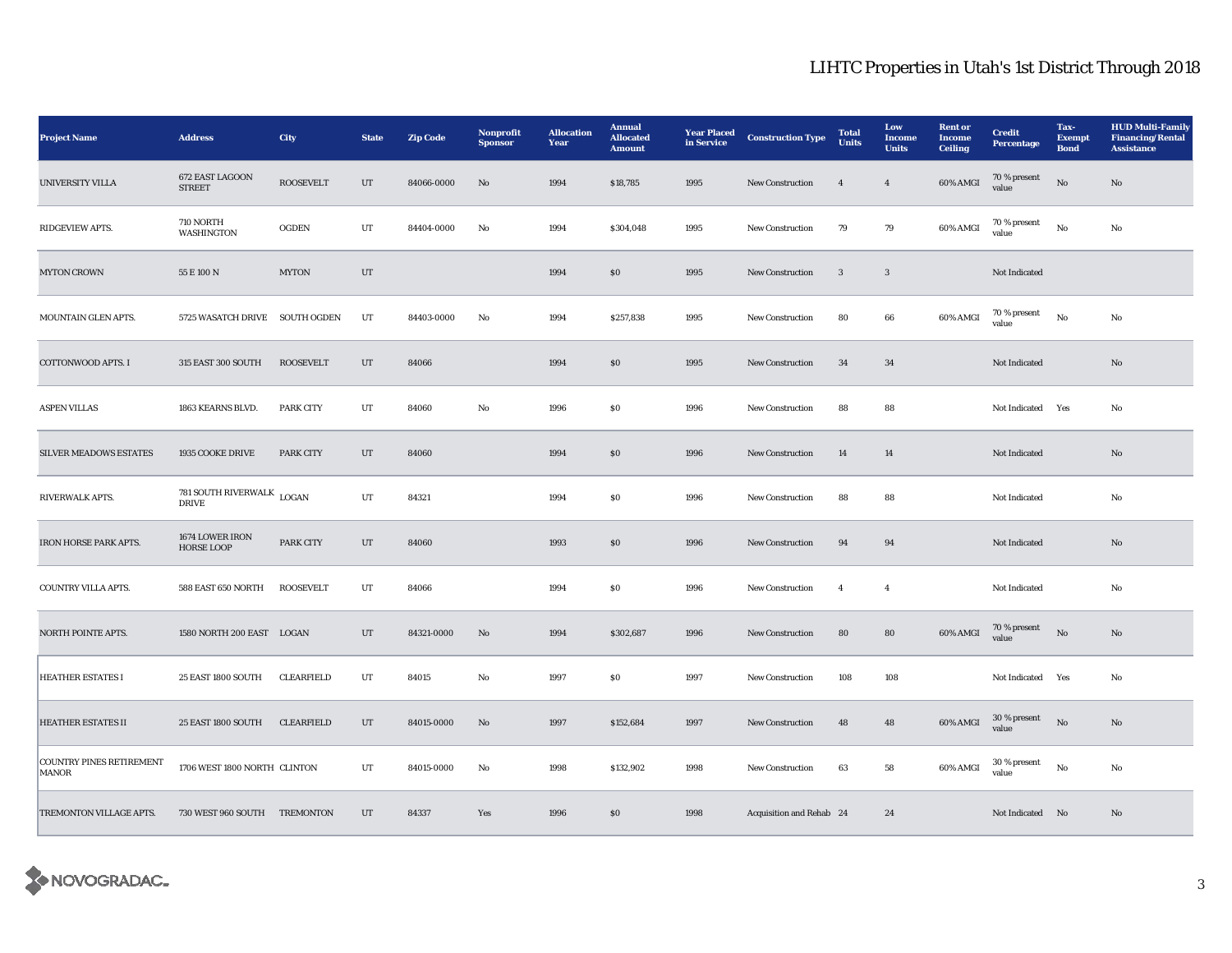| <b>Project Name</b>                             | <b>Address</b>                       | City              | <b>State</b> | <b>Zip Code</b> | Nonprofit<br><b>Sponsor</b> | <b>Allocation</b><br>Year | Annual<br><b>Allocated</b><br><b>Amount</b>      | <b>Year Placed</b><br>in Service | <b>Construction Type</b> | <b>Total</b><br><b>Units</b> | Low<br>Income<br><b>Units</b> | <b>Rent</b> or<br><b>Income</b><br><b>Ceiling</b> | <b>Credit</b><br>Percentage | Tax-<br><b>Exempt</b><br><b>Bond</b> | <b>HUD Multi-Family</b><br><b>Financing/Rental</b><br><b>Assistance</b> |
|-------------------------------------------------|--------------------------------------|-------------------|--------------|-----------------|-----------------------------|---------------------------|--------------------------------------------------|----------------------------------|--------------------------|------------------------------|-------------------------------|---------------------------------------------------|-----------------------------|--------------------------------------|-------------------------------------------------------------------------|
| <b>UNIVERSITY VILLA</b>                         | 672 EAST LAGOON<br><b>STREET</b>     | <b>ROOSEVELT</b>  | UT           | 84066-0000      | $\mathbf{N}\mathbf{o}$      | 1994                      | \$18,785                                         | 1995                             | <b>New Construction</b>  | $\overline{4}$               | $\overline{4}$                | 60% AMGI                                          | 70 % present<br>value       | $\mathbf{No}$                        | $\mathbf{N}\mathbf{o}$                                                  |
| RIDGEVIEW APTS.                                 | 710 NORTH<br>WASHINGTON              | <b>OGDEN</b>      | UT           | 84404-0000      | No                          | 1994                      | \$304,048                                        | 1995                             | <b>New Construction</b>  | 79                           | 79                            | 60% AMGI                                          | 70 % present<br>value       | $\mathbf{No}$                        | No                                                                      |
| <b>MYTON CROWN</b>                              | 55 E 100 N                           | <b>MYTON</b>      | UT           |                 |                             | 1994                      | \$0\$                                            | 1995                             | <b>New Construction</b>  | 3                            | 3                             |                                                   | Not Indicated               |                                      |                                                                         |
| MOUNTAIN GLEN APTS.                             | 5725 WASATCH DRIVE SOUTH OGDEN       |                   | UT           | 84403-0000      | No                          | 1994                      | \$257,838                                        | 1995                             | <b>New Construction</b>  | 80                           | 66                            | 60% AMGI                                          | 70 % present<br>value       | $\mathbf{No}$                        | No                                                                      |
| COTTONWOOD APTS. I                              | 315 EAST 300 SOUTH                   | <b>ROOSEVELT</b>  | UT           | 84066           |                             | 1994                      | \$0\$                                            | 1995                             | <b>New Construction</b>  | 34                           | 34                            |                                                   | Not Indicated               |                                      | No                                                                      |
| <b>ASPEN VILLAS</b>                             | 1863 KEARNS BLVD.                    | <b>PARK CITY</b>  | UT           | 84060           | No                          | 1996                      | $\$0$                                            | 1996                             | <b>New Construction</b>  | 88                           | 88                            |                                                   | Not Indicated Yes           |                                      | No                                                                      |
| <b>SILVER MEADOWS ESTATES</b>                   | 1935 COOKE DRIVE                     | <b>PARK CITY</b>  | UT           | 84060           |                             | 1994                      | \$0\$                                            | 1996                             | <b>New Construction</b>  | 14                           | $14\,$                        |                                                   | Not Indicated               |                                      | No                                                                      |
| RIVERWALK APTS.                                 | 781 SOUTH RIVERWALK<br><b>DRIVE</b>  | LOGAN             | $_{\rm{UT}}$ | 84321           |                             | 1994                      | ${\bf S0}$                                       | 1996                             | <b>New Construction</b>  | 88                           | 88                            |                                                   | Not Indicated               |                                      | No                                                                      |
| IRON HORSE PARK APTS.                           | 1674 LOWER IRON<br><b>HORSE LOOP</b> | <b>PARK CITY</b>  | $_{\rm{UT}}$ | 84060           |                             | 1993                      | \$0                                              | 1996                             | <b>New Construction</b>  | 94                           | 94                            |                                                   | Not Indicated               |                                      | No                                                                      |
| COUNTRY VILLA APTS.                             | 588 EAST 650 NORTH                   | <b>ROOSEVELT</b>  | UT           | 84066           |                             | 1994                      | ${\bf S0}$                                       | 1996                             | New Construction         | $\overline{4}$               | $\overline{4}$                |                                                   | Not Indicated               |                                      | No                                                                      |
| <b>NORTH POINTE APTS.</b>                       | 1580 NORTH 200 EAST LOGAN            |                   | UT           | 84321-0000      | No                          | 1994                      | \$302,687                                        | 1996                             | <b>New Construction</b>  | 80                           | 80                            | 60% AMGI                                          | 70 % present<br>value       | No                                   | No                                                                      |
| <b>HEATHER ESTATES I</b>                        | 25 EAST 1800 SOUTH                   | <b>CLEARFIELD</b> | UT           | 84015           | No                          | 1997                      | $\$0$                                            | 1997                             | New Construction         | 108                          | 108                           |                                                   | Not Indicated Yes           |                                      | No                                                                      |
| <b>HEATHER ESTATES II</b>                       | <b>25 EAST 1800 SOUTH</b>            | <b>CLEARFIELD</b> | UT           | 84015-0000      | No                          | 1997                      | \$152,684                                        | 1997                             | <b>New Construction</b>  | 48                           | 48                            | 60% AMGI                                          | $30$ % present value        | $\mathbf{N}\mathbf{o}$               | No                                                                      |
| <b>COUNTRY PINES RETIREMENT</b><br><b>MANOR</b> | 1706 WEST 1800 NORTH CLINTON         |                   | UT           | 84015-0000      | No                          | 1998                      | \$132,902                                        | 1998                             | New Construction         | 63                           | ${\bf 58}$                    | 60% AMGI                                          | 30 % present<br>value       | $\rm No$                             | No                                                                      |
| TREMONTON VILLAGE APTS.                         | 730 WEST 960 SOUTH TREMONTON         |                   | UT           | 84337           | Yes                         | 1996                      | $\boldsymbol{\mathsf{S}}\boldsymbol{\mathsf{0}}$ | 1998                             | Acquisition and Rehab 24 |                              | 24                            |                                                   | Not Indicated No            |                                      | No                                                                      |

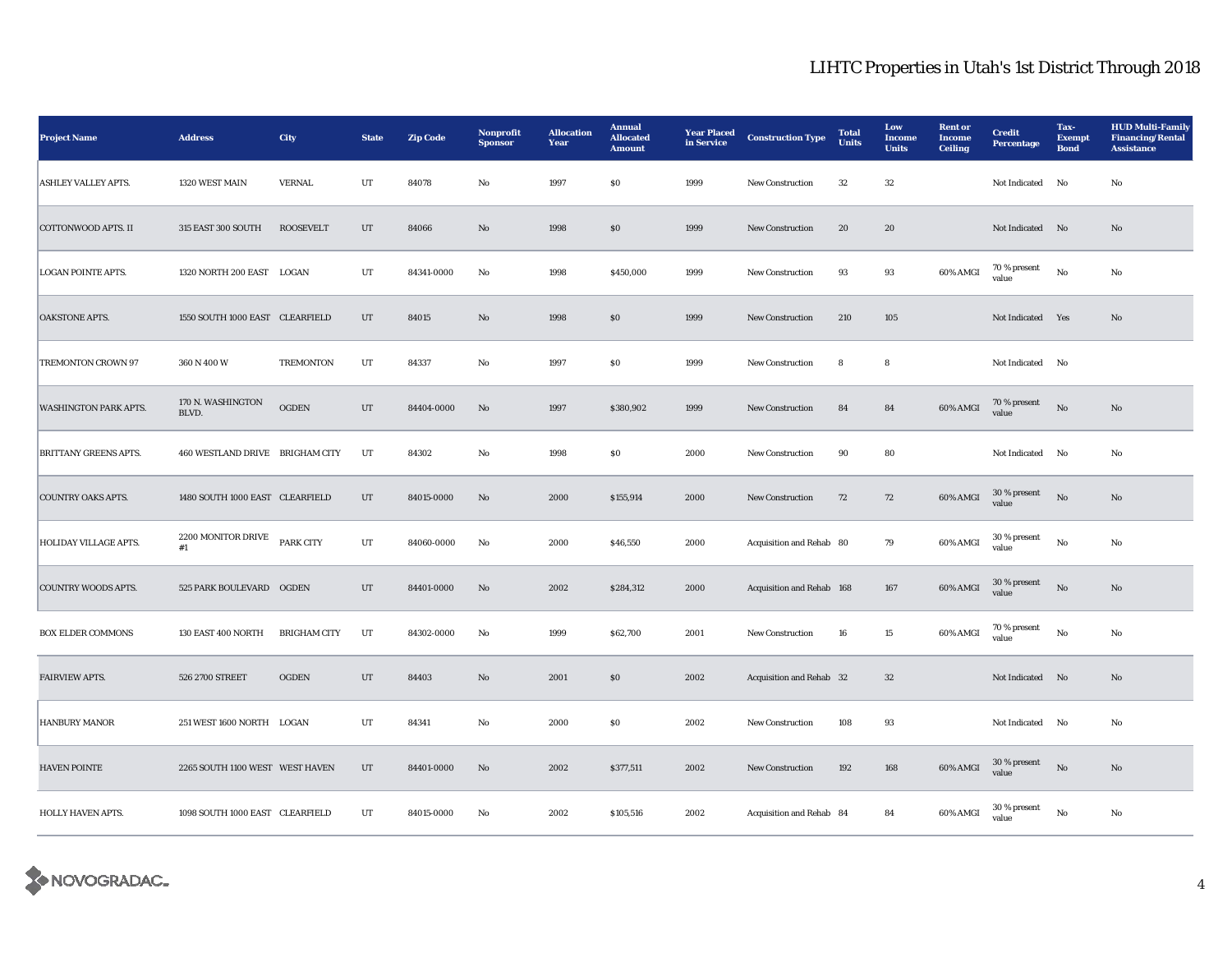| <b>Project Name</b>          | <b>Address</b>                  | <b>City</b>         | <b>State</b> | <b>Zip Code</b> | <b>Nonprofit</b><br><b>Sponsor</b> | <b>Allocation</b><br>Year | <b>Annual</b><br><b>Allocated</b><br><b>Amount</b> | <b>Year Placed</b><br>in Service | <b>Construction Type</b>  | <b>Total</b><br><b>Units</b> | Low<br><b>Income</b><br><b>Units</b> | <b>Rent or</b><br>Income<br><b>Ceiling</b> | <b>Credit</b><br><b>Percentage</b> | Tax-<br><b>Exempt</b><br><b>Bond</b> | <b>HUD Multi-Family</b><br><b>Financing/Rental</b><br><b>Assistance</b> |
|------------------------------|---------------------------------|---------------------|--------------|-----------------|------------------------------------|---------------------------|----------------------------------------------------|----------------------------------|---------------------------|------------------------------|--------------------------------------|--------------------------------------------|------------------------------------|--------------------------------------|-------------------------------------------------------------------------|
| <b>ASHLEY VALLEY APTS.</b>   | 1320 WEST MAIN                  | <b>VERNAL</b>       | UT           | 84078           | No                                 | 1997                      | SO.                                                | 1999                             | <b>New Construction</b>   | $32\,$                       | $32\,$                               |                                            | <b>Not Indicated</b>               | No                                   | No                                                                      |
| COTTONWOOD APTS. II          | 315 EAST 300 SOUTH              | <b>ROOSEVELT</b>    | $_{\rm{UT}}$ | 84066           | $\mathbf{No}$                      | 1998                      | $\$0$                                              | 1999                             | New Construction          | 20                           | 20                                   |                                            | Not Indicated No                   |                                      | No                                                                      |
| <b>LOGAN POINTE APTS.</b>    | 1320 NORTH 200 EAST LOGAN       |                     | UT           | 84341-0000      | No                                 | 1998                      | \$450,000                                          | 1999                             | <b>New Construction</b>   | 93                           | 93                                   | 60% AMGI                                   | 70 % present<br>value              | $_{\rm No}$                          | No                                                                      |
| <b>OAKSTONE APTS.</b>        | 1550 SOUTH 1000 EAST CLEARFIELD |                     | UT           | 84015           | $\rm No$                           | 1998                      | ${\bf S0}$                                         | 1999                             | New Construction          | 210                          | 105                                  |                                            | Not Indicated Yes                  |                                      | No                                                                      |
| TREMONTON CROWN 97           | 360 N 400 W                     | <b>TREMONTON</b>    | UT           | 84337           | $\rm No$                           | 1997                      | ${\bf S0}$                                         | 1999                             | New Construction          | 8                            | 8                                    |                                            | Not Indicated No                   |                                      |                                                                         |
| <b>WASHINGTON PARK APTS.</b> | 170 N. WASHINGTON<br>BLVD.      | <b>OGDEN</b>        | UT           | 84404-0000      | No                                 | 1997                      | \$380,902                                          | 1999                             | <b>New Construction</b>   | 84                           | 84                                   | 60% AMGI                                   | $70\,\%$ present<br>value          | $_{\rm No}$                          | No                                                                      |
| <b>BRITTANY GREENS APTS.</b> | 460 WESTLAND DRIVE BRIGHAM CITY |                     | UT           | 84302           | No                                 | 1998                      | \$0                                                | 2000                             | New Construction          | 90                           | 80                                   |                                            | Not Indicated No                   |                                      | No                                                                      |
| <b>COUNTRY OAKS APTS.</b>    | 1480 SOUTH 1000 EAST CLEARFIELD |                     | UT           | 84015-0000      | No                                 | 2000                      | \$155,914                                          | 2000                             | <b>New Construction</b>   | 72                           | 72                                   | 60% AMGI                                   | 30 % present<br>value              | $\rm No$                             | No                                                                      |
| <b>HOLIDAY VILLAGE APTS.</b> | 2200 MONITOR DRIVE<br>#1        | <b>PARK CITY</b>    | UT           | 84060-0000      | No                                 | 2000                      | \$46,550                                           | 2000                             | Acquisition and Rehab 80  |                              | 79                                   | 60% AMGI                                   | $30\,\%$ present<br>value          | $_{\rm No}$                          | No                                                                      |
| <b>COUNTRY WOODS APTS.</b>   | 525 PARK BOULEVARD OGDEN        |                     | UT           | 84401-0000      | No                                 | 2002                      | \$284,312                                          | 2000                             | Acquisition and Rehab 168 |                              | ${\bf 167}$                          | 60% AMGI                                   | $30\,\%$ present<br>value          | $_{\rm No}$                          | $\mathbf{N}\mathbf{o}$                                                  |
| <b>BOX ELDER COMMONS</b>     | 130 EAST 400 NORTH              | <b>BRIGHAM CITY</b> | UT           | 84302-0000      | No                                 | 1999                      | \$62,700                                           | 2001                             | New Construction          | 16                           | $15\,$                               | 60% AMGI                                   | 70 % present<br>value              | No                                   | No                                                                      |
| <b>FAIRVIEW APTS.</b>        | 526 2700 STREET                 | <b>OGDEN</b>        | UT           | 84403           | No                                 | 2001                      | S <sub>0</sub>                                     | 2002                             | Acquisition and Rehab 32  |                              | 32                                   |                                            | Not Indicated No                   |                                      | No                                                                      |
| <b>HANBURY MANOR</b>         | 251 WEST 1600 NORTH LOGAN       |                     | UT           | 84341           | $\rm No$                           | 2000                      | $\$0$                                              | 2002                             | <b>New Construction</b>   | 108                          | 93                                   |                                            | Not Indicated No                   |                                      | No                                                                      |
| <b>HAVEN POINTE</b>          | 2265 SOUTH 1100 WEST WEST HAVEN |                     | UT           | 84401-0000      | No                                 | 2002                      | \$377,511                                          | 2002                             | New Construction          | 192                          | 168                                  | 60% AMGI                                   | 30 % present<br>value              | $\rm No$                             | No                                                                      |
| HOLLY HAVEN APTS.            | 1098 SOUTH 1000 EAST CLEARFIELD |                     | UT           | 84015-0000      | No                                 | 2002                      | \$105,516                                          | 2002                             | Acquisition and Rehab 84  |                              | 84                                   | 60% AMGI                                   | 30 % present<br>value              | $_{\rm No}$                          | No                                                                      |

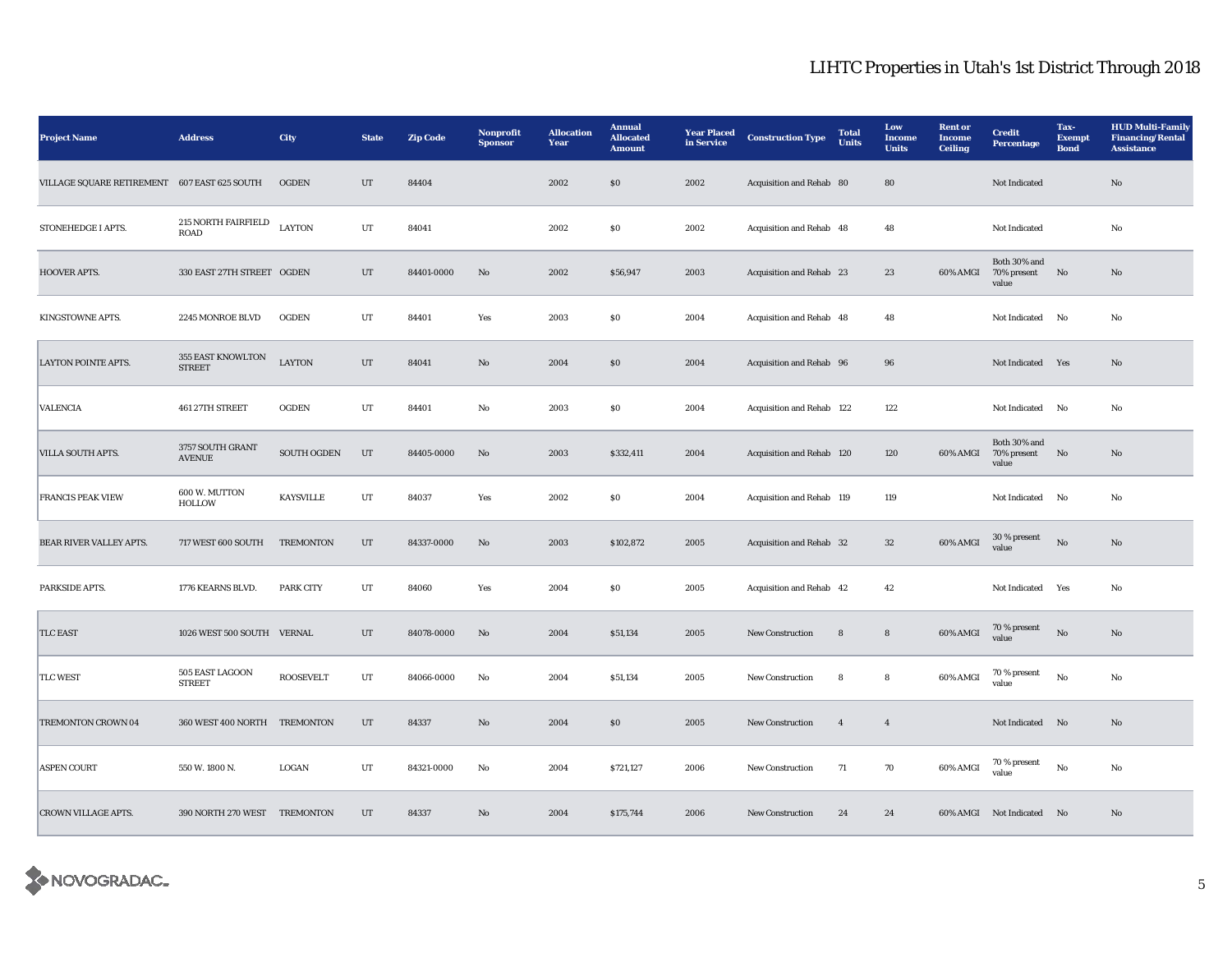| <b>Project Name</b>                          | <b>Address</b>                     | <b>City</b>        | <b>State</b> | <b>Zip Code</b> | <b>Nonprofit</b><br><b>Sponsor</b> | <b>Allocation</b><br>Year | <b>Annual</b><br><b>Allocated</b><br><b>Amount</b> | <b>Year Placed</b><br>in Service | <b>Construction Type</b>  | <b>Total</b><br><b>Units</b> | Low<br><b>Income</b><br><b>Units</b> | <b>Rent</b> or<br><b>Income</b><br><b>Ceiling</b> | <b>Credit</b><br>Percentage             | Tax-<br><b>Exempt</b><br><b>Bond</b> | <b>HUD Multi-Family</b><br><b>Financing/Rental</b><br><b>Assistance</b> |
|----------------------------------------------|------------------------------------|--------------------|--------------|-----------------|------------------------------------|---------------------------|----------------------------------------------------|----------------------------------|---------------------------|------------------------------|--------------------------------------|---------------------------------------------------|-----------------------------------------|--------------------------------------|-------------------------------------------------------------------------|
| VILLAGE SQUARE RETIREMENT 607 EAST 625 SOUTH |                                    | <b>OGDEN</b>       | UT           | 84404           |                                    | 2002                      | $\$0$                                              | 2002                             | Acquisition and Rehab 80  |                              | 80                                   |                                                   | Not Indicated                           |                                      | $\mathbf{N}\mathbf{o}$                                                  |
| STONEHEDGE I APTS.                           | 215 NORTH FAIRFIELD<br><b>ROAD</b> | <b>LAYTON</b>      | UT           | 84041           |                                    | 2002                      | \$0\$                                              | 2002                             | Acquisition and Rehab 48  |                              | 48                                   |                                                   | Not Indicated                           |                                      | No                                                                      |
| HOOVER APTS.                                 | 330 EAST 27TH STREET OGDEN         |                    | UT           | 84401-0000      | No                                 | 2002                      | \$56,947                                           | 2003                             | Acquisition and Rehab 23  |                              | 23                                   | 60% AMGI                                          | Both 30% and<br>70% present<br>value    | No                                   | No                                                                      |
| KINGSTOWNE APTS.                             | 2245 MONROE BLVD                   | OGDEN              | UT           | 84401           | Yes                                | 2003                      | \$0\$                                              | 2004                             | Acquisition and Rehab 48  |                              | 48                                   |                                                   | Not Indicated No                        |                                      | No                                                                      |
| <b>LAYTON POINTE APTS.</b>                   | 355 EAST KNOWLTON<br><b>STREET</b> | <b>LAYTON</b>      | $_{\rm{UT}}$ | 84041           | No                                 | 2004                      | \$0\$                                              | 2004                             | Acquisition and Rehab 96  |                              | 96                                   |                                                   | Not Indicated Yes                       |                                      | No                                                                      |
| <b>VALENCIA</b>                              | 461 27TH STREET                    | <b>OGDEN</b>       | UT           | 84401           | No                                 | 2003                      | \$0\$                                              | 2004                             | Acquisition and Rehab 122 |                              | 122                                  |                                                   | Not Indicated No                        |                                      | No                                                                      |
| <b>VILLA SOUTH APTS.</b>                     | 3757 SOUTH GRANT<br><b>AVENUE</b>  | <b>SOUTH OGDEN</b> | UT           | 84405-0000      | $\mathbf{N}\mathbf{o}$             | 2003                      | \$332,411                                          | 2004                             | Acquisition and Rehab 120 |                              | 120                                  | 60% AMGI                                          | Both 30% and<br>70% present No<br>value |                                      | No                                                                      |
| <b>FRANCIS PEAK VIEW</b>                     | 600 W. MUTTON<br>HOLLOW            | <b>KAYSVILLE</b>   | UT           | 84037           | Yes                                | 2002                      | \$0\$                                              | 2004                             | Acquisition and Rehab 119 |                              | 119                                  |                                                   | Not Indicated No                        |                                      | No                                                                      |
| BEAR RIVER VALLEY APTS.                      | 717 WEST 600 SOUTH                 | <b>TREMONTON</b>   | UT           | 84337-0000      | No                                 | 2003                      | \$102,872                                          | 2005                             | Acquisition and Rehab 32  |                              | 32                                   | 60% AMGI                                          | 30 % present<br>value                   | $\mathbf{N}\mathbf{o}$               | No                                                                      |
| PARKSIDE APTS.                               | 1776 KEARNS BLVD.                  | <b>PARK CITY</b>   | UT           | 84060           | Yes                                | 2004                      | $\$0$                                              | 2005                             | Acquisition and Rehab 42  |                              | 42                                   |                                                   | Not Indicated Yes                       |                                      | No                                                                      |
| <b>TLC EAST</b>                              | 1026 WEST 500 SOUTH VERNAL         |                    | UT           | 84078-0000      | No                                 | 2004                      | \$51,134                                           | 2005                             | <b>New Construction</b>   | 8                            | 8                                    | 60% AMGI                                          | $70\,\%$ present<br>value               | No                                   | No                                                                      |
| <b>TLC WEST</b>                              | 505 EAST LAGOON<br><b>STREET</b>   | <b>ROOSEVELT</b>   | UT           | 84066-0000      | No                                 | 2004                      | \$51,134                                           | 2005                             | New Construction          | 8                            | 8                                    | 60% AMGI                                          | 70 % present<br>value                   | $\mathbf{No}$                        | No                                                                      |
| TREMONTON CROWN 04                           | 360 WEST 400 NORTH TREMONTON       |                    | UT           | 84337           | No                                 | 2004                      | \$0\$                                              | 2005                             | <b>New Construction</b>   | $\overline{4}$               | $\overline{4}$                       |                                                   | Not Indicated                           | N <sub>0</sub>                       | No                                                                      |
| <b>ASPEN COURT</b>                           | 550 W. 1800 N.                     | LOGAN              | UT           | 84321-0000      | No                                 | 2004                      | \$721,127                                          | 2006                             | New Construction          | 71                           | 70                                   | 60% AMGI                                          | 70 % present<br>value                   | No                                   | No                                                                      |
| <b>CROWN VILLAGE APTS.</b>                   | 390 NORTH 270 WEST TREMONTON       |                    | UT           | 84337           | No                                 | 2004                      | \$175,744                                          | 2006                             | <b>New Construction</b>   | 24                           | 24                                   |                                                   | 60% AMGI Not Indicated No               |                                      | No                                                                      |

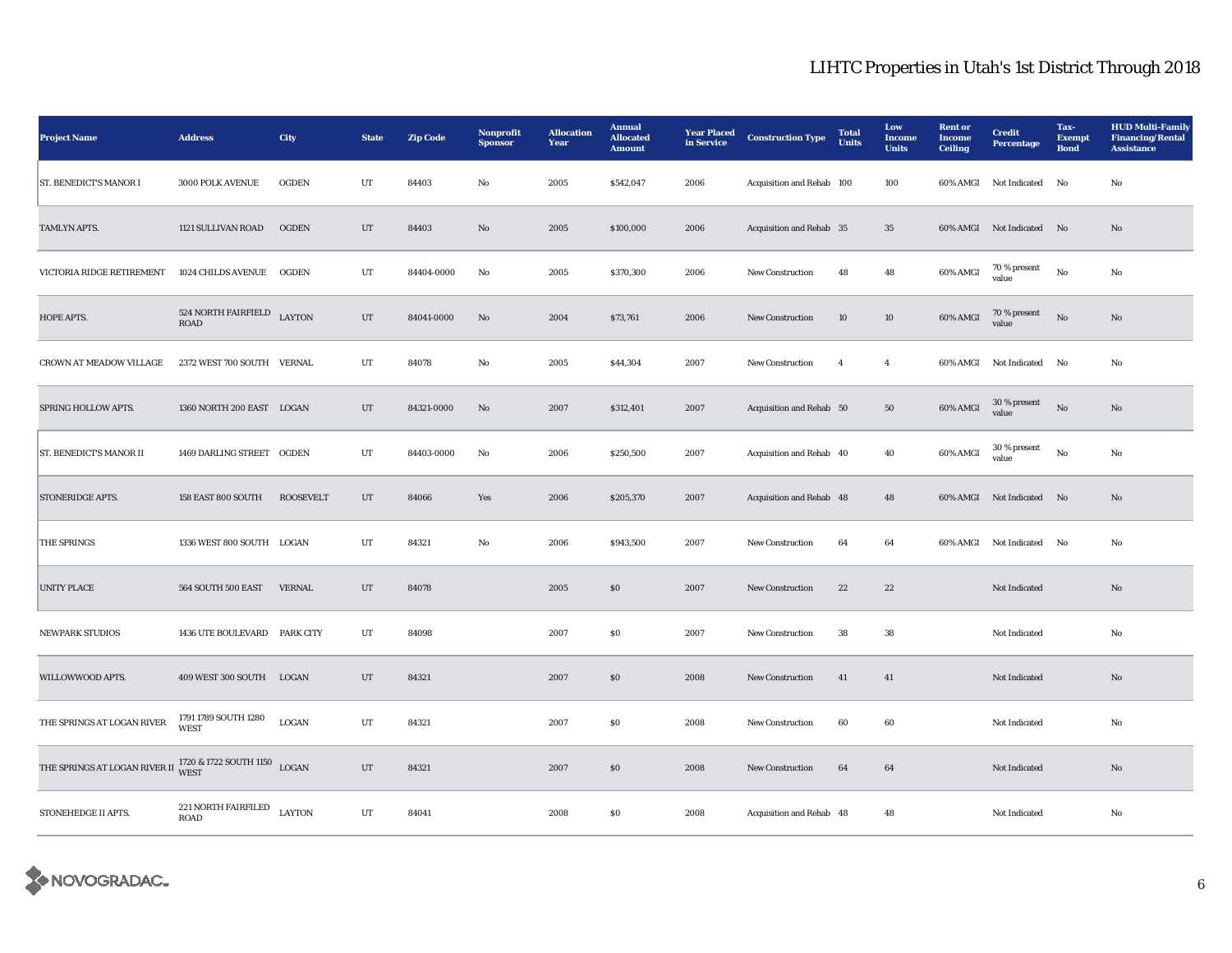| <b>Project Name</b>                | <b>Address</b>                      | City             | <b>State</b> | <b>Zip Code</b> | Nonprofit<br><b>Sponsor</b> | <b>Allocation</b><br>Year | <b>Annual</b><br><b>Allocated</b><br><b>Amount</b> | <b>Year Placed</b><br>in Service | <b>Construction Type</b>  | <b>Total</b><br><b>Units</b> | Low<br><b>Income</b><br><b>Units</b> | <b>Rent or</b><br>Income<br><b>Ceiling</b> | <b>Credit</b><br><b>Percentage</b> | Tax-<br><b>Exempt</b><br><b>Bond</b> | <b>HUD Multi-Family</b><br><b>Financing/Rental</b><br><b>Assistance</b> |
|------------------------------------|-------------------------------------|------------------|--------------|-----------------|-----------------------------|---------------------------|----------------------------------------------------|----------------------------------|---------------------------|------------------------------|--------------------------------------|--------------------------------------------|------------------------------------|--------------------------------------|-------------------------------------------------------------------------|
| <b>ST. BENEDICT'S MANOR I</b>      | 3000 POLK AVENUE                    | <b>OGDEN</b>     | UT           | 84403           | No                          | 2005                      | \$542,047                                          | 2006                             | Acquisition and Rehab 100 |                              | 100                                  | 60% AMGI                                   | <b>Not Indicated</b>               | No                                   | No                                                                      |
| TAMLYN APTS.                       | 1121 SULLIVAN ROAD                  | <b>OGDEN</b>     | $_{\rm{UT}}$ | 84403           | $\mathbf{N}\mathbf{o}$      | 2005                      | \$100,000                                          | 2006                             | Acquisition and Rehab 35  |                              | 35                                   |                                            | 60% AMGI Not Indicated No          |                                      | No                                                                      |
| VICTORIA RIDGE RETIREMENT          | <b>1024 CHILDS AVENUE</b>           | <b>OGDEN</b>     | UT           | 84404-0000      | No                          | 2005                      | \$370,300                                          | 2006                             | <b>New Construction</b>   | 48                           | 48                                   | 60% AMGI                                   | 70 % present<br>value              | No                                   | No                                                                      |
| HOPE APTS.                         | 524 NORTH FAIRFIELD<br><b>ROAD</b>  | <b>LAYTON</b>    | $_{\rm{UT}}$ | 84041-0000      | $\mathbf{N}\mathbf{o}$      | 2004                      | \$73,761                                           | 2006                             | New Construction          | 10                           | 10 <sup>10</sup>                     | 60% AMGI                                   | 70 % present<br>value              | No                                   | No                                                                      |
| CROWN AT MEADOW VILLAGE            | 2372 WEST 700 SOUTH VERNAL          |                  | UT           | 84078           | $\rm No$                    | 2005                      | \$44,304                                           | 2007                             | New Construction          | $\overline{4}$               | $\overline{4}$                       | 60% AMGI                                   | Not Indicated No                   |                                      | No                                                                      |
| SPRING HOLLOW APTS.                | 1360 NORTH 200 EAST LOGAN           |                  | UT           | 84321-0000      | No                          | 2007                      | \$312,401                                          | 2007                             | Acquisition and Rehab 50  |                              | 50                                   | 60% AMGI                                   | 30 % present<br>value              | No                                   | No                                                                      |
| <b>ST. BENEDICT'S MANOR II</b>     | 1469 DARLING STREET OGDEN           |                  | UT           | 84403-0000      | No                          | 2006                      | \$250,500                                          | 2007                             | Acquisition and Rehab 40  |                              | 40                                   | 60% AMGI                                   | 30 % present<br>value              | No                                   | No                                                                      |
| STONERIDGE APTS.                   | 158 EAST 800 SOUTH                  | <b>ROOSEVELT</b> | UT           | 84066           | Yes                         | 2006                      | \$205,370                                          | 2007                             | Acquisition and Rehab 48  |                              | 48                                   | 60% AMGI                                   | Not Indicated No                   |                                      | No                                                                      |
| <b>THE SPRINGS</b>                 | 1336 WEST 800 SOUTH LOGAN           |                  | UT           | 84321           | No                          | 2006                      | \$943,500                                          | 2007                             | <b>New Construction</b>   | 64                           | 64                                   | 60% AMGI                                   | Not Indicated No                   |                                      | No                                                                      |
| <b>UNITY PLACE</b>                 | 564 SOUTH 500 EAST                  | <b>VERNAL</b>    | $_{\rm{UT}}$ | 84078           |                             | 2005                      | $\boldsymbol{\mathsf{S}}\boldsymbol{\mathsf{O}}$   | 2007                             | <b>New Construction</b>   | $2\sqrt{2}$                  | $2\sqrt{2}$                          |                                            | Not Indicated                      |                                      | No                                                                      |
| <b>NEWPARK STUDIOS</b>             | 1436 UTE BOULEVARD PARK CITY        |                  | UT           | 84098           |                             | 2007                      | $\$0$                                              | 2007                             | <b>New Construction</b>   | 38                           | 38                                   |                                            | Not Indicated                      |                                      | No                                                                      |
| WILLOWWOOD APTS.                   | 409 WEST 300 SOUTH LOGAN            |                  | $_{\rm{UT}}$ | 84321           |                             | 2007                      | $\boldsymbol{\mathsf{S}}\boldsymbol{\mathsf{O}}$   | 2008                             | New Construction          | 41                           | 41                                   |                                            | Not Indicated                      |                                      | No                                                                      |
| THE SPRINGS AT LOGAN RIVER         | 1791 1789 SOUTH 1280<br><b>WEST</b> | LOGAN            | UT           | 84321           |                             | 2007                      | $\boldsymbol{\mathsf{S}}\boldsymbol{\mathsf{O}}$   | 2008                             | New Construction          | 60                           | 60                                   |                                            | Not Indicated                      |                                      | No                                                                      |
| THE SPRINGS AT LOGAN RIVER II WEST | 1720 & 1722 SOUTH 1150              | <b>LOGAN</b>     | UT           | 84321           |                             | 2007                      | $\boldsymbol{\mathsf{S}}\boldsymbol{\mathsf{0}}$   | 2008                             | <b>New Construction</b>   | 64                           | 64                                   |                                            | Not Indicated                      |                                      | No                                                                      |
| STONEHEDGE II APTS.                | 221 NORTH FAIRFILED<br><b>ROAD</b>  | <b>LAYTON</b>    | UT           | 84041           |                             | 2008                      | SO.                                                | 2008                             | Acquisition and Rehab 48  |                              | 48                                   |                                            | Not Indicated                      |                                      | No                                                                      |

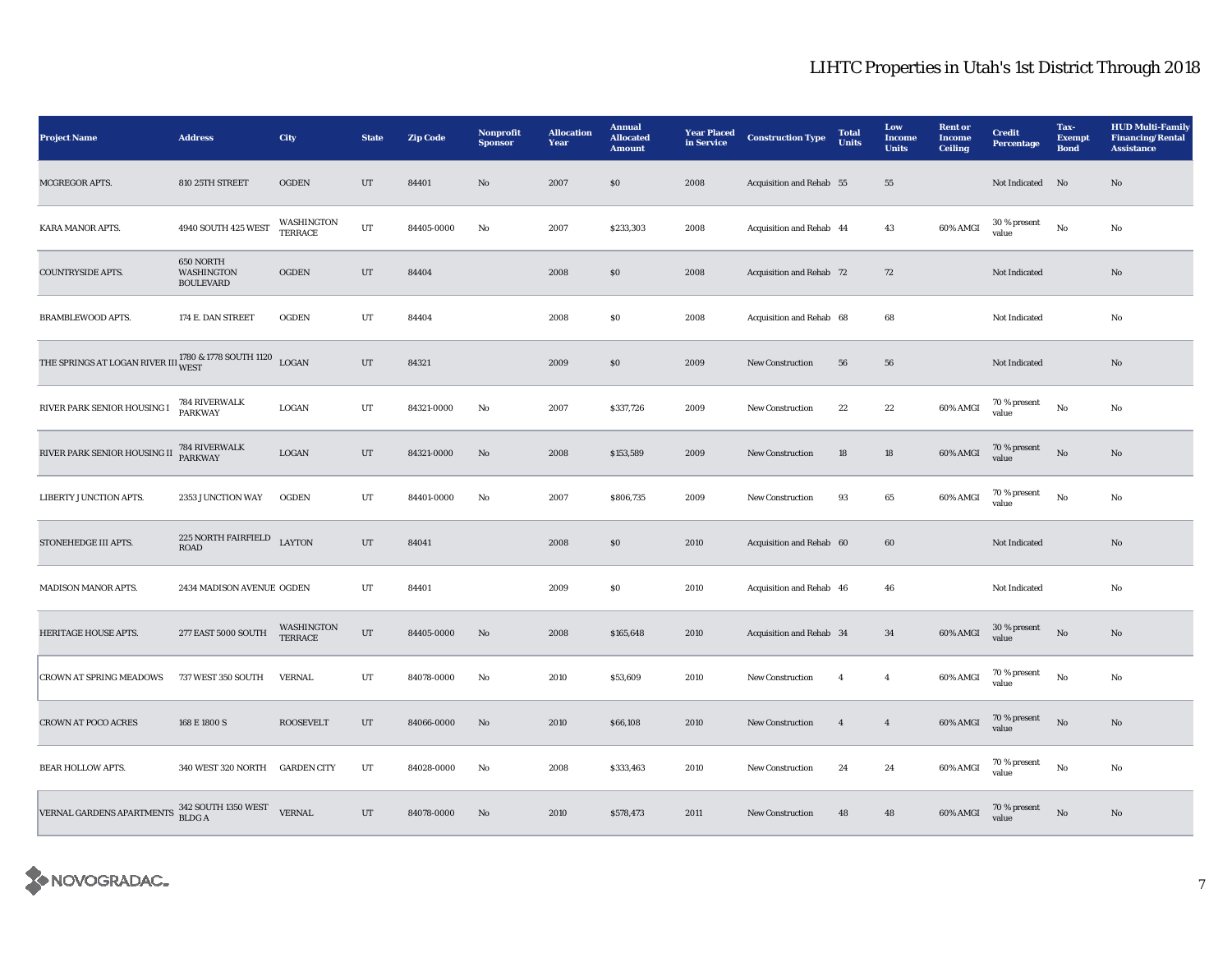| <b>Project Name</b>                                                                                       | <b>Address</b>                              | City                         | <b>State</b> | <b>Zip Code</b> | Nonprofit<br><b>Sponsor</b> | <b>Allocation</b><br>Year | <b>Annual</b><br><b>Allocated</b><br><b>Amount</b> | <b>Year Placed</b><br>in Service | <b>Construction Type</b> | <b>Total</b><br><b>Units</b> | Low<br>Income<br><b>Units</b> | <b>Rent</b> or<br><b>Income</b><br><b>Ceiling</b> | <b>Credit</b><br>Percentage | Tax-<br><b>Exempt</b><br><b>Bond</b> | <b>HUD Multi-Family</b><br><b>Financing/Rental</b><br><b>Assistance</b> |
|-----------------------------------------------------------------------------------------------------------|---------------------------------------------|------------------------------|--------------|-----------------|-----------------------------|---------------------------|----------------------------------------------------|----------------------------------|--------------------------|------------------------------|-------------------------------|---------------------------------------------------|-----------------------------|--------------------------------------|-------------------------------------------------------------------------|
| <b>MCGREGOR APTS.</b>                                                                                     | 810 25TH STREET                             | <b>OGDEN</b>                 | UT           | 84401           | No                          | 2007                      | S <sub>0</sub>                                     | 2008                             | Acquisition and Rehab 55 |                              | 55                            |                                                   | Not Indicated No            |                                      | No                                                                      |
| <b>KARA MANOR APTS.</b>                                                                                   | 4940 SOUTH 425 WEST                         | WASHINGTON<br><b>TERRACE</b> | $_{\rm UT}$  | 84405-0000      | No                          | 2007                      | \$233,303                                          | 2008                             | Acquisition and Rehab 44 |                              | 43                            | 60% AMGI                                          | 30 % present<br>value       | $\mathbf{No}$                        | No                                                                      |
| <b>COUNTRYSIDE APTS.</b>                                                                                  | 650 NORTH<br>WASHINGTON<br><b>BOULEVARD</b> | <b>OGDEN</b>                 | $_{\rm{UT}}$ | 84404           |                             | 2008                      | \$0\$                                              | 2008                             | Acquisition and Rehab 72 |                              | $72\,$                        |                                                   | Not Indicated               |                                      | No                                                                      |
| <b>BRAMBLEWOOD APTS.</b>                                                                                  | 174 E. DAN STREET                           | <b>OGDEN</b>                 | $_{\rm UT}$  | 84404           |                             | 2008                      | $\$0$                                              | 2008                             | Acquisition and Rehab 68 |                              | 68                            |                                                   | Not Indicated               |                                      | No                                                                      |
| THE SPRINGS AT LOGAN RIVER III $_{\rm WEST}^{1780\text{ \& }1778\text{ }\rm{SOUTH}}$ 1120 $_{\rm{LOGAN}}$ |                                             |                              | $_{\rm{UT}}$ | 84321           |                             | 2009                      | ${\bf S0}$                                         | 2009                             | New Construction         | 56                           | ${\bf 56}$                    |                                                   | Not Indicated               |                                      | $\mathbf{No}$                                                           |
| RIVER PARK SENIOR HOUSING I                                                                               | 784 RIVERWALK<br><b>PARKWAY</b>             | LOGAN                        | UT           | 84321-0000      | No                          | 2007                      | \$337,726                                          | 2009                             | <b>New Construction</b>  | 22                           | 22                            | 60% AMGI                                          | 70 % present<br>value       | No                                   | No                                                                      |
| RIVER PARK SENIOR HOUSING II 784 RIVERWALK                                                                |                                             | LOGAN                        | UT           | 84321-0000      | No                          | 2008                      | \$153,589                                          | 2009                             | <b>New Construction</b>  | 18                           | 18                            | 60% AMGI                                          | 70 % present<br>value       | $\mathbf{N}\mathbf{o}$               | No                                                                      |
| LIBERTY JUNCTION APTS.                                                                                    | 2353 JUNCTION WAY                           | <b>OGDEN</b>                 | UT           | 84401-0000      | No                          | 2007                      | \$806,735                                          | 2009                             | <b>New Construction</b>  | 93                           | 65                            | 60% AMGI                                          | $70\,\%$ present<br>value   | No                                   | No                                                                      |
| STONEHEDGE III APTS.                                                                                      | 225 NORTH FAIRFIELD<br><b>ROAD</b>          | <b>LAYTON</b>                | $_{\rm{UT}}$ | 84041           |                             | 2008                      | S <sub>0</sub>                                     | 2010                             | Acquisition and Rehab 60 |                              | 60                            |                                                   | Not Indicated               |                                      | No                                                                      |
| MADISON MANOR APTS.                                                                                       | 2434 MADISON AVENUE OGDEN                   |                              | UT           | 84401           |                             | 2009                      | $\$0$                                              | 2010                             | Acquisition and Rehab 46 |                              | 46                            |                                                   | Not Indicated               |                                      | No                                                                      |
| HERITAGE HOUSE APTS.                                                                                      | 277 EAST 5000 SOUTH                         | WASHINGTON<br><b>TERRACE</b> | $_{\rm{UT}}$ | 84405-0000      | $\rm\thinspace No$          | 2008                      | \$165,648                                          | 2010                             | Acquisition and Rehab 34 |                              | 34                            | 60% AMGI                                          | 30 % present<br>value       | $\rm\thinspace No$                   | $\mathbf{N}\mathbf{o}$                                                  |
| <b>CROWN AT SPRING MEADOWS</b>                                                                            | 737 WEST 350 SOUTH                          | <b>VERNAL</b>                | UT           | 84078-0000      | No                          | 2010                      | \$53,609                                           | 2010                             | <b>New Construction</b>  | $\overline{4}$               | $\overline{4}$                | 60% AMGI                                          | 70 % present<br>value       | $\mathbf{No}$                        | No                                                                      |
| <b>CROWN AT POCO ACRES</b>                                                                                | 168 E 1800 S                                | <b>ROOSEVELT</b>             | UT           | 84066-0000      | No                          | 2010                      | \$66,108                                           | 2010                             | <b>New Construction</b>  | $\overline{4}$               | $\overline{4}$                | 60% AMGI                                          | 70 % present<br>value       | No                                   | No                                                                      |
| <b>BEAR HOLLOW APTS.</b>                                                                                  | 340 WEST 320 NORTH                          | <b>GARDEN CITY</b>           | UT           | 84028-0000      | No                          | 2008                      | \$333,463                                          | 2010                             | New Construction         | 24                           | 24                            | 60% AMGI                                          | 70 % present<br>value       | $\rm No$                             | No                                                                      |
| VERNAL GARDENS APARTMENTS                                                                                 | 342 SOUTH 1350 WEST<br><b>BLDGA</b>         | <b>VERNAL</b>                | $_{\rm{UT}}$ | 84078-0000      | No                          | 2010                      | \$578,473                                          | 2011                             | <b>New Construction</b>  | 48                           | 48                            | 60% AMGI                                          | 70 % present<br>value       | $\mathbf{No}$                        | No                                                                      |

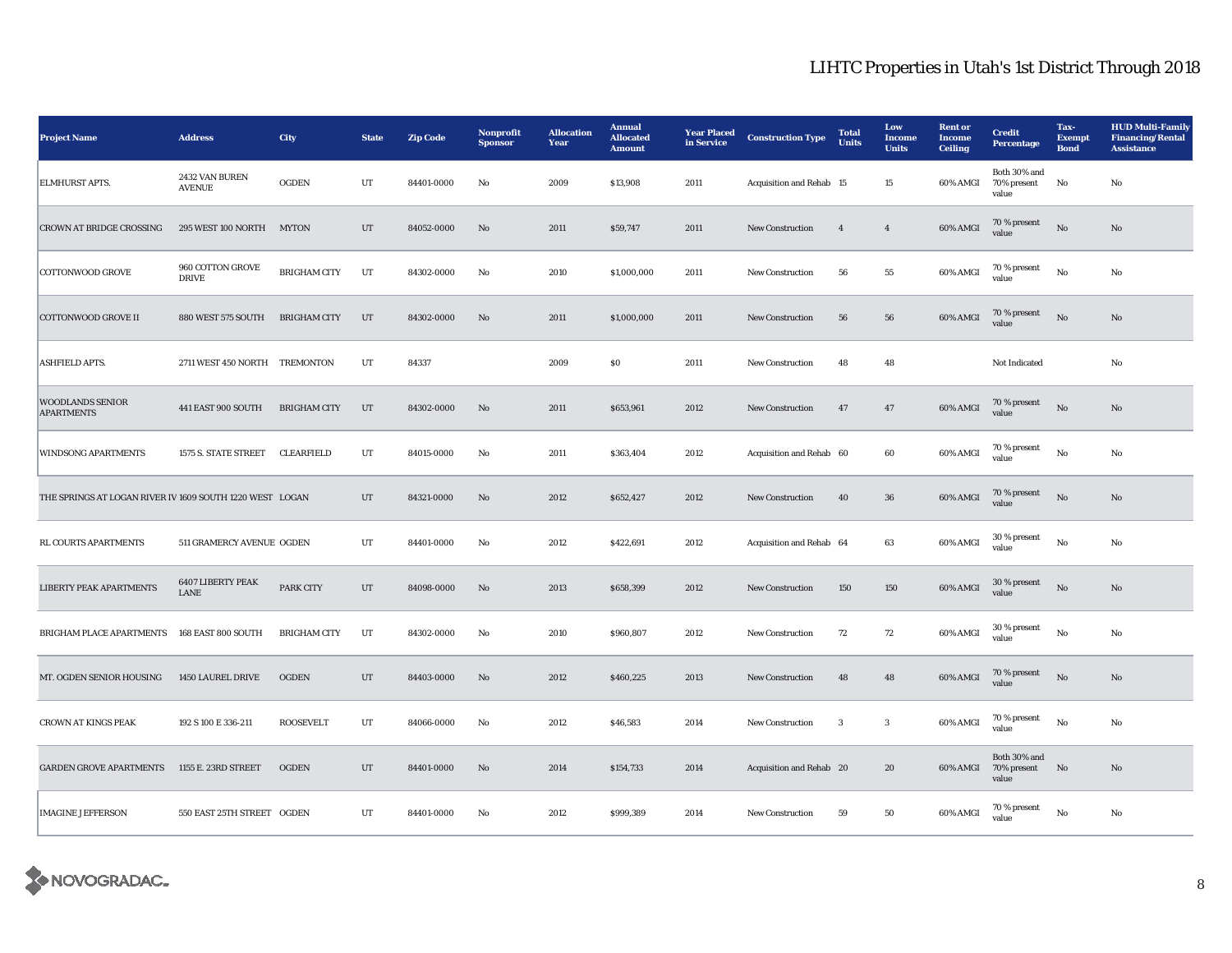| <b>Project Name</b>                                      | <b>Address</b>                   | <b>City</b>         | <b>State</b> | <b>Zip Code</b> | Nonprofit<br><b>Sponsor</b> | <b>Allocation</b><br>Year | <b>Annual</b><br><b>Allocated</b><br><b>Amount</b> | <b>Year Placed</b><br>in Service | <b>Construction Type</b> | <b>Total</b><br><b>Units</b> | Low<br>Income<br><b>Units</b> | <b>Rent or</b><br><b>Income</b><br><b>Ceiling</b> | <b>Credit</b><br><b>Percentage</b>   | Tax-<br><b>Exempt</b><br><b>Bond</b> | <b>HUD Multi-Family</b><br><b>Financing/Rental</b><br><b>Assistance</b> |
|----------------------------------------------------------|----------------------------------|---------------------|--------------|-----------------|-----------------------------|---------------------------|----------------------------------------------------|----------------------------------|--------------------------|------------------------------|-------------------------------|---------------------------------------------------|--------------------------------------|--------------------------------------|-------------------------------------------------------------------------|
| <b>ELMHURST APTS.</b>                                    | 2432 VAN BUREN<br><b>AVENUE</b>  | <b>OGDEN</b>        | UT           | 84401-0000      | No                          | 2009                      | \$13,908                                           | 2011                             | Acquisition and Rehab 15 |                              | 15                            | 60% AMGI                                          | Both 30% and<br>70% present<br>value | No                                   | No                                                                      |
| <b>CROWN AT BRIDGE CROSSING</b>                          | 295 WEST 100 NORTH MYTON         |                     | UT           | 84052-0000      | No                          | 2011                      | \$59,747                                           | 2011                             | <b>New Construction</b>  | $\overline{4}$               | $\boldsymbol{4}$              | 60% AMGI                                          | 70 % present<br>value                | $\rm No$                             | No                                                                      |
| <b>COTTONWOOD GROVE</b>                                  | 960 COTTON GROVE<br><b>DRIVE</b> | <b>BRIGHAM CITY</b> | UT           | 84302-0000      | No                          | 2010                      | \$1,000,000                                        | 2011                             | <b>New Construction</b>  | 56                           | 55                            | 60% AMGI                                          | 70 % present<br>value                | $\mathbf{No}$                        | No                                                                      |
| <b>COTTONWOOD GROVE II</b>                               | 880 WEST 575 SOUTH               | <b>BRIGHAM CITY</b> | UT           | 84302-0000      | No                          | 2011                      | \$1,000,000                                        | 2011                             | <b>New Construction</b>  | 56                           | 56                            | 60% AMGI                                          | 70 % present<br>value                | No                                   | No                                                                      |
| <b>ASHFIELD APTS.</b>                                    | 2711 WEST 450 NORTH TREMONTON    |                     | UT           | 84337           |                             | 2009                      | \$0\$                                              | 2011                             | <b>New Construction</b>  | 48                           | 48                            |                                                   | Not Indicated                        |                                      | No                                                                      |
| <b>WOODLANDS SENIOR</b><br><b>APARTMENTS</b>             | 441 EAST 900 SOUTH               | <b>BRIGHAM CITY</b> | UT           | 84302-0000      | $\mathbf{N}\mathbf{o}$      | 2011                      | \$653,961                                          | 2012                             | <b>New Construction</b>  | 47                           | $47\,$                        | 60% AMGI                                          | 70 % present<br>value                | $\rm No$                             | No                                                                      |
| <b>WINDSONG APARTMENTS</b>                               | 1575 S. STATE STREET             | CLEARFIELD          | UT           | 84015-0000      | No                          | 2011                      | \$363,404                                          | 2012                             | Acquisition and Rehab 60 |                              | 60                            | 60% AMGI                                          | 70 % present<br>value                | $\mathbf{No}$                        | No                                                                      |
| THE SPRINGS AT LOGAN RIVER IV 1609 SOUTH 1220 WEST LOGAN |                                  |                     | UT           | 84321-0000      | No                          | 2012                      | \$652,427                                          | 2012                             | <b>New Construction</b>  | 40                           | 36                            | 60% AMGI                                          | 70 % present<br>value                | $\mathbf{No}$                        | No                                                                      |
| RL COURTS APARTMENTS                                     | 511 GRAMERCY AVENUE OGDEN        |                     | UT           | 84401-0000      | No                          | 2012                      | \$422,691                                          | 2012                             | Acquisition and Rehab 64 |                              | 63                            | 60% AMGI                                          | 30 % present<br>value                | No                                   | No                                                                      |
| LIBERTY PEAK APARTMENTS                                  | 6407 LIBERTY PEAK<br><b>LANE</b> | PARK CITY           | UT           | 84098-0000      | No                          | 2013                      | \$658,399                                          | 2012                             | <b>New Construction</b>  | 150                          | 150                           | 60% AMGI                                          | 30 % present<br>value                | $\mathbf{N}\mathbf{o}$               | No                                                                      |
| BRIGHAM PLACE APARTMENTS                                 | 168 EAST 800 SOUTH               | <b>BRIGHAM CITY</b> | UT           | 84302-0000      | No                          | 2010                      | \$960,807                                          | 2012                             | <b>New Construction</b>  | 72                           | 72                            | 60% AMGI                                          | 30 % present<br>value                | No                                   | No                                                                      |
| MT. OGDEN SENIOR HOUSING                                 | 1450 LAUREL DRIVE                | <b>OGDEN</b>        | UT           | 84403-0000      | No                          | 2012                      | \$460,225                                          | 2013                             | <b>New Construction</b>  | 48                           | 48                            | 60% AMGI                                          | $70\,\%$ present<br>value            | $\mathbf{N}\mathbf{o}$               | No                                                                      |
| <b>CROWN AT KINGS PEAK</b>                               | 192 S 100 E 336-211              | <b>ROOSEVELT</b>    | UT           | 84066-0000      | No                          | 2012                      | \$46,583                                           | 2014                             | New Construction         | 3                            | $\sqrt{3}$                    | 60% AMGI                                          | 70 % present<br>value                | $\mathbf{No}$                        | No                                                                      |
| <b>GARDEN GROVE APARTMENTS</b>                           | 1155 E. 23RD STREET              | OGDEN               | $_{\rm{UT}}$ | 84401-0000      | $\mathbf{N}\mathbf{o}$      | 2014                      | \$154,733                                          | 2014                             | Acquisition and Rehab 20 |                              | 20                            | 60% AMGI                                          | Both 30% and<br>70% present<br>value | No                                   | $\mathbf{N}\mathbf{o}$                                                  |
| <b>IMAGINE JEFFERSON</b>                                 | 550 EAST 25TH STREET OGDEN       |                     | UT           | 84401-0000      | No                          | 2012                      | \$999,389                                          | 2014                             | New Construction         | 59                           | 50                            | 60% AMGI                                          | 70 % present<br>value                | $\rm No$                             | No                                                                      |